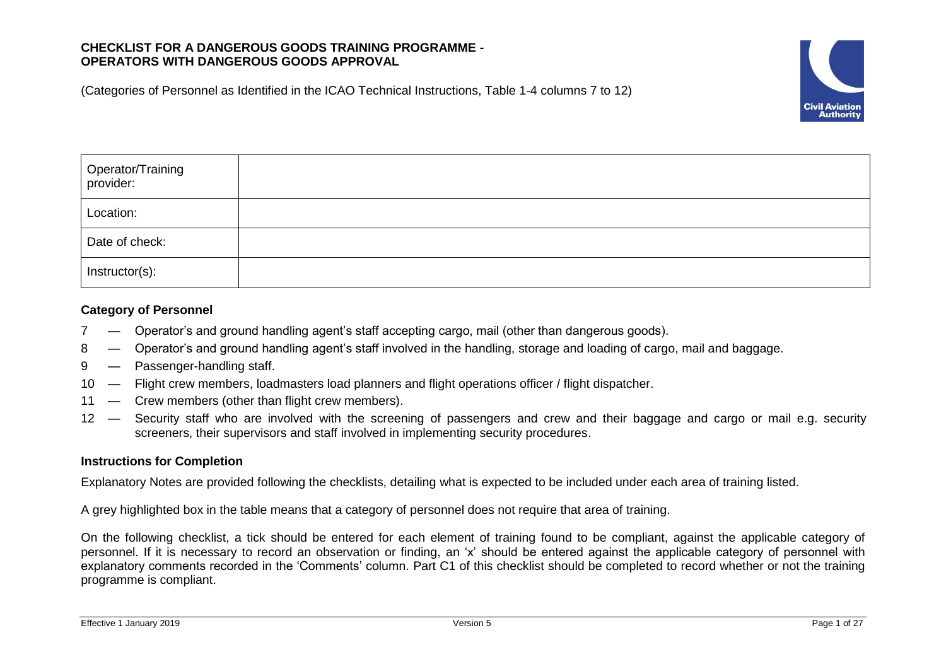# **CHECKLIST FOR A DANGEROUS GOODS TRAINING PROGRAMME - OPERATORS WITH DANGEROUS GOODS APPROVAL**

(Categories of Personnel as Identified in the ICAO Technical Instructions, Table 1-4 columns 7 to 12)



| Operator/Training<br>provider: |  |
|--------------------------------|--|
| Location:                      |  |
| Date of check:                 |  |
| Instructor(s):                 |  |

# **Category of Personnel**

- 7 Operator's and ground handling agent's staff accepting cargo, mail (other than dangerous goods).
- 8 Operator's and ground handling agent's staff involved in the handling, storage and loading of cargo, mail and baggage.
- 9 Passenger-handling staff.
- 10 Flight crew members, loadmasters load planners and flight operations officer / flight dispatcher.
- 11 Crew members (other than flight crew members).
- 12 Security staff who are involved with the screening of passengers and crew and their baggage and cargo or mail e.g. security screeners, their supervisors and staff involved in implementing security procedures.

## **Instructions for Completion**

Explanatory Notes are provided following the checklists, detailing what is expected to be included under each area of training listed.

A grey highlighted box in the table means that a category of personnel does not require that area of training.

On the following checklist, a tick should be entered for each element of training found to be compliant, against the applicable category of personnel. If it is necessary to record an observation or finding, an 'x' should be entered against the applicable category of personnel with explanatory comments recorded in the 'Comments' column. Part C1 of this checklist should be completed to record whether or not the training programme is compliant.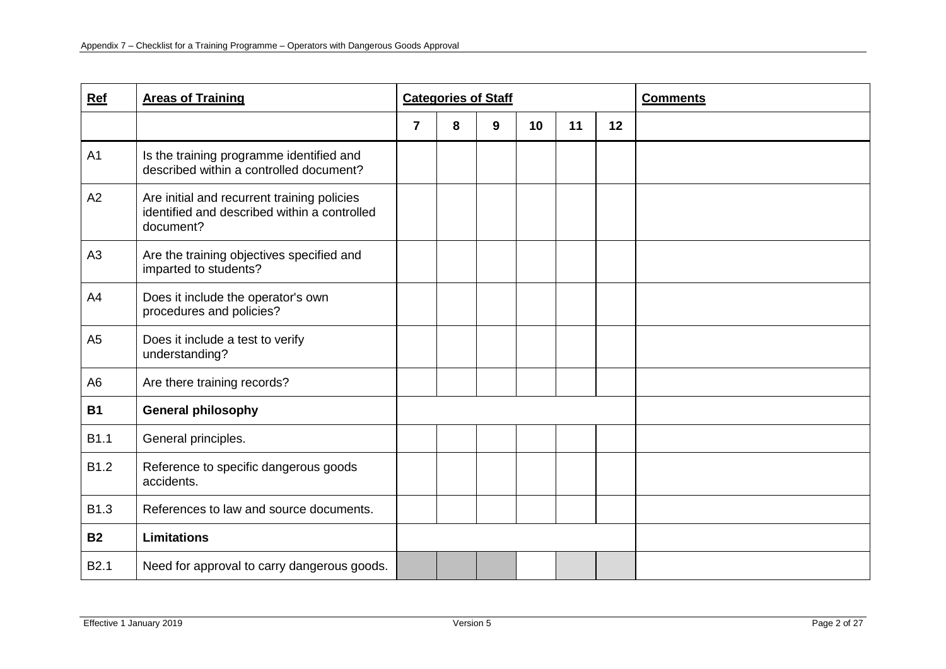| Ref              | <b>Areas of Training</b>                                                                                 |                | <b>Categories of Staff</b> |   |    |    | <b>Comments</b> |  |
|------------------|----------------------------------------------------------------------------------------------------------|----------------|----------------------------|---|----|----|-----------------|--|
|                  |                                                                                                          | $\overline{7}$ | 8                          | 9 | 10 | 11 | 12              |  |
| A <sub>1</sub>   | Is the training programme identified and<br>described within a controlled document?                      |                |                            |   |    |    |                 |  |
| A2               | Are initial and recurrent training policies<br>identified and described within a controlled<br>document? |                |                            |   |    |    |                 |  |
| A3               | Are the training objectives specified and<br>imparted to students?                                       |                |                            |   |    |    |                 |  |
| A4               | Does it include the operator's own<br>procedures and policies?                                           |                |                            |   |    |    |                 |  |
| A <sub>5</sub>   | Does it include a test to verify<br>understanding?                                                       |                |                            |   |    |    |                 |  |
| A <sub>6</sub>   | Are there training records?                                                                              |                |                            |   |    |    |                 |  |
| <b>B1</b>        | <b>General philosophy</b>                                                                                |                |                            |   |    |    |                 |  |
| B1.1             | General principles.                                                                                      |                |                            |   |    |    |                 |  |
| B1.2             | Reference to specific dangerous goods<br>accidents.                                                      |                |                            |   |    |    |                 |  |
| B1.3             | References to law and source documents.                                                                  |                |                            |   |    |    |                 |  |
| <b>B2</b>        | <b>Limitations</b>                                                                                       |                |                            |   |    |    |                 |  |
| B <sub>2.1</sub> | Need for approval to carry dangerous goods.                                                              |                |                            |   |    |    |                 |  |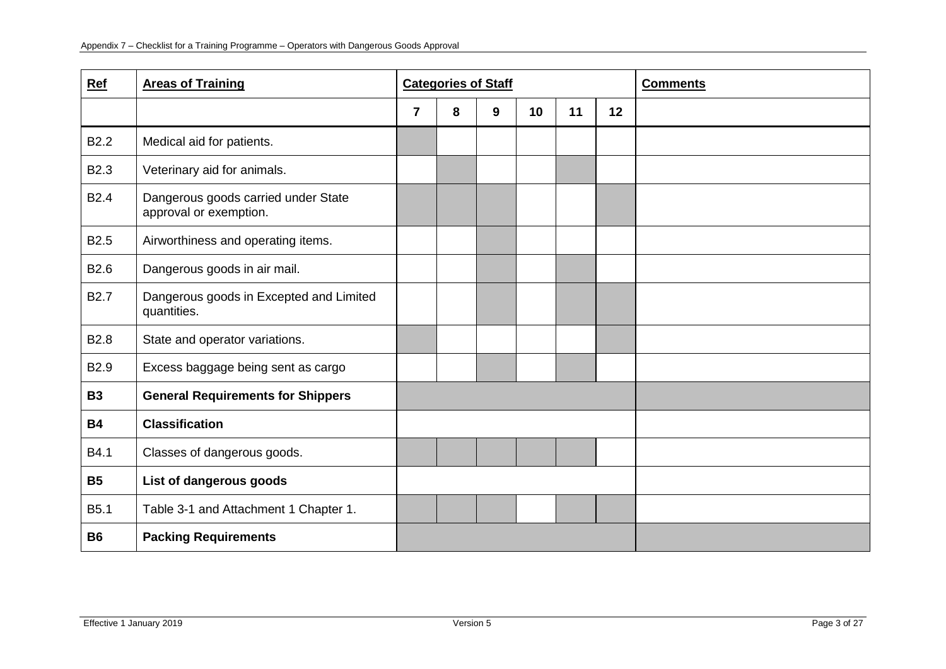| Ref              | <b>Areas of Training</b>                                      |                         | <b>Categories of Staff</b> |   |                 |    |    | <b>Comments</b> |
|------------------|---------------------------------------------------------------|-------------------------|----------------------------|---|-----------------|----|----|-----------------|
|                  |                                                               | $\overline{\mathbf{r}}$ | 8                          | 9 | 10 <sup>°</sup> | 11 | 12 |                 |
| <b>B2.2</b>      | Medical aid for patients.                                     |                         |                            |   |                 |    |    |                 |
| B <sub>2.3</sub> | Veterinary aid for animals.                                   |                         |                            |   |                 |    |    |                 |
| <b>B2.4</b>      | Dangerous goods carried under State<br>approval or exemption. |                         |                            |   |                 |    |    |                 |
| B <sub>2.5</sub> | Airworthiness and operating items.                            |                         |                            |   |                 |    |    |                 |
| B <sub>2.6</sub> | Dangerous goods in air mail.                                  |                         |                            |   |                 |    |    |                 |
| <b>B2.7</b>      | Dangerous goods in Excepted and Limited<br>quantities.        |                         |                            |   |                 |    |    |                 |
| <b>B2.8</b>      | State and operator variations.                                |                         |                            |   |                 |    |    |                 |
| B2.9             | Excess baggage being sent as cargo                            |                         |                            |   |                 |    |    |                 |
| <b>B3</b>        | <b>General Requirements for Shippers</b>                      |                         |                            |   |                 |    |    |                 |
| <b>B4</b>        | <b>Classification</b>                                         |                         |                            |   |                 |    |    |                 |
| B4.1             | Classes of dangerous goods.                                   |                         |                            |   |                 |    |    |                 |
| <b>B5</b>        | List of dangerous goods                                       |                         |                            |   |                 |    |    |                 |
| B <sub>5.1</sub> | Table 3-1 and Attachment 1 Chapter 1.                         |                         |                            |   |                 |    |    |                 |
| <b>B6</b>        | <b>Packing Requirements</b>                                   |                         |                            |   |                 |    |    |                 |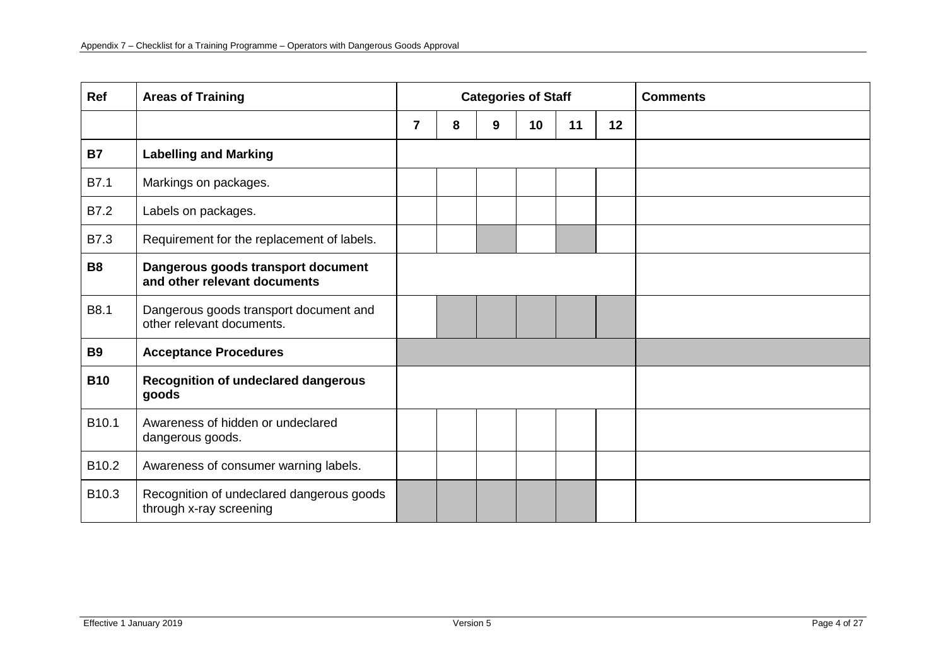| Ref               | <b>Areas of Training</b>                                             |                |   | <b>Categories of Staff</b> |    |    |    | <b>Comments</b> |
|-------------------|----------------------------------------------------------------------|----------------|---|----------------------------|----|----|----|-----------------|
|                   |                                                                      | $\overline{7}$ | 8 | 9                          | 10 | 11 | 12 |                 |
| <b>B7</b>         | <b>Labelling and Marking</b>                                         |                |   |                            |    |    |    |                 |
| B7.1              | Markings on packages.                                                |                |   |                            |    |    |    |                 |
| B7.2              | Labels on packages.                                                  |                |   |                            |    |    |    |                 |
| B7.3              | Requirement for the replacement of labels.                           |                |   |                            |    |    |    |                 |
| <b>B8</b>         | Dangerous goods transport document<br>and other relevant documents   |                |   |                            |    |    |    |                 |
| B8.1              | Dangerous goods transport document and<br>other relevant documents.  |                |   |                            |    |    |    |                 |
| <b>B9</b>         | <b>Acceptance Procedures</b>                                         |                |   |                            |    |    |    |                 |
| <b>B10</b>        | <b>Recognition of undeclared dangerous</b><br>goods                  |                |   |                            |    |    |    |                 |
| B10.1             | Awareness of hidden or undeclared<br>dangerous goods.                |                |   |                            |    |    |    |                 |
| B <sub>10.2</sub> | Awareness of consumer warning labels.                                |                |   |                            |    |    |    |                 |
| B10.3             | Recognition of undeclared dangerous goods<br>through x-ray screening |                |   |                            |    |    |    |                 |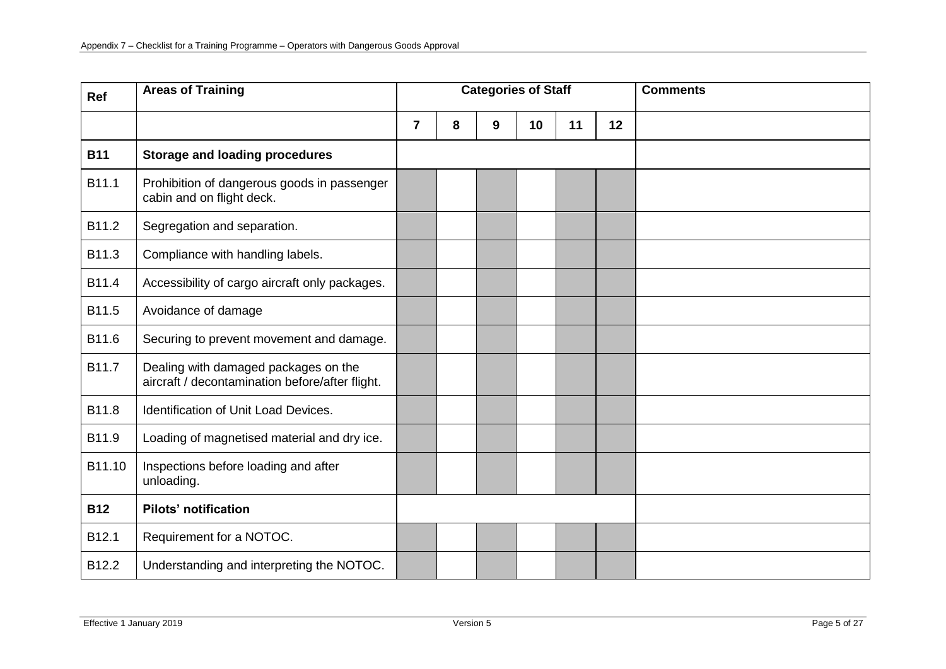| Ref        | <b>Areas of Training</b>                                                                |                |   | <b>Categories of Staff</b> |    |    |    | <b>Comments</b> |
|------------|-----------------------------------------------------------------------------------------|----------------|---|----------------------------|----|----|----|-----------------|
|            |                                                                                         | $\overline{7}$ | 8 | 9                          | 10 | 11 | 12 |                 |
| <b>B11</b> | <b>Storage and loading procedures</b>                                                   |                |   |                            |    |    |    |                 |
| B11.1      | Prohibition of dangerous goods in passenger<br>cabin and on flight deck.                |                |   |                            |    |    |    |                 |
| B11.2      | Segregation and separation.                                                             |                |   |                            |    |    |    |                 |
| B11.3      | Compliance with handling labels.                                                        |                |   |                            |    |    |    |                 |
| B11.4      | Accessibility of cargo aircraft only packages.                                          |                |   |                            |    |    |    |                 |
| B11.5      | Avoidance of damage                                                                     |                |   |                            |    |    |    |                 |
| B11.6      | Securing to prevent movement and damage.                                                |                |   |                            |    |    |    |                 |
| B11.7      | Dealing with damaged packages on the<br>aircraft / decontamination before/after flight. |                |   |                            |    |    |    |                 |
| B11.8      | <b>Identification of Unit Load Devices.</b>                                             |                |   |                            |    |    |    |                 |
| B11.9      | Loading of magnetised material and dry ice.                                             |                |   |                            |    |    |    |                 |
| B11.10     | Inspections before loading and after<br>unloading.                                      |                |   |                            |    |    |    |                 |
| <b>B12</b> | <b>Pilots' notification</b>                                                             |                |   |                            |    |    |    |                 |
| B12.1      | Requirement for a NOTOC.                                                                |                |   |                            |    |    |    |                 |
| B12.2      | Understanding and interpreting the NOTOC.                                               |                |   |                            |    |    |    |                 |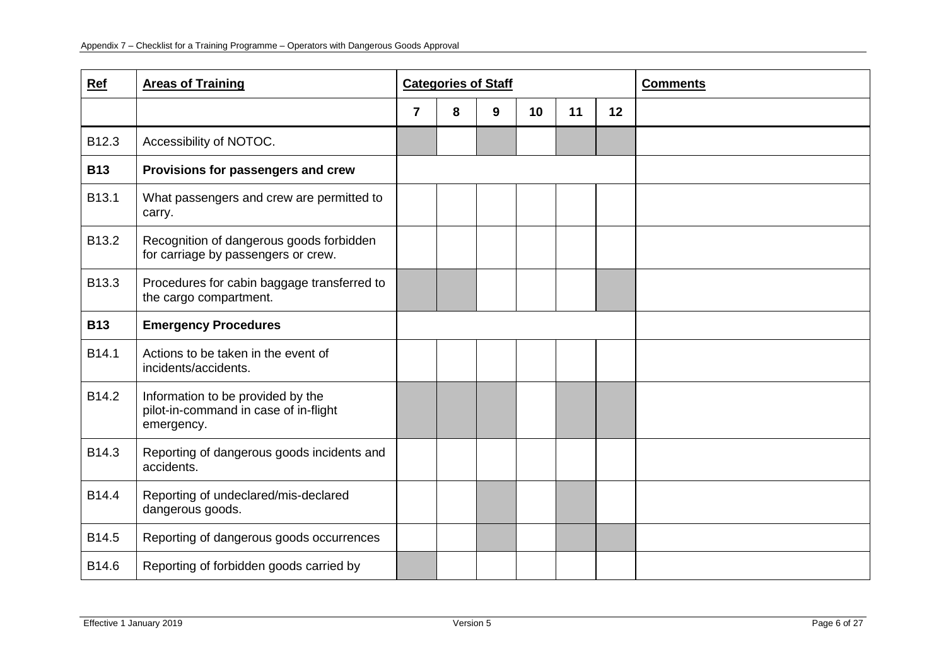| Ref        | <b>Areas of Training</b>                                                                 |                | <b>Categories of Staff</b> |   |                 |    |    | <b>Comments</b> |
|------------|------------------------------------------------------------------------------------------|----------------|----------------------------|---|-----------------|----|----|-----------------|
|            |                                                                                          | $\overline{7}$ | 8                          | 9 | 10 <sup>1</sup> | 11 | 12 |                 |
| B12.3      | Accessibility of NOTOC.                                                                  |                |                            |   |                 |    |    |                 |
| <b>B13</b> | Provisions for passengers and crew                                                       |                |                            |   |                 |    |    |                 |
| B13.1      | What passengers and crew are permitted to<br>carry.                                      |                |                            |   |                 |    |    |                 |
| B13.2      | Recognition of dangerous goods forbidden<br>for carriage by passengers or crew.          |                |                            |   |                 |    |    |                 |
| B13.3      | Procedures for cabin baggage transferred to<br>the cargo compartment.                    |                |                            |   |                 |    |    |                 |
| <b>B13</b> | <b>Emergency Procedures</b>                                                              |                |                            |   |                 |    |    |                 |
| B14.1      | Actions to be taken in the event of<br>incidents/accidents.                              |                |                            |   |                 |    |    |                 |
| B14.2      | Information to be provided by the<br>pilot-in-command in case of in-flight<br>emergency. |                |                            |   |                 |    |    |                 |
| B14.3      | Reporting of dangerous goods incidents and<br>accidents.                                 |                |                            |   |                 |    |    |                 |
| B14.4      | Reporting of undeclared/mis-declared<br>dangerous goods.                                 |                |                            |   |                 |    |    |                 |
| B14.5      | Reporting of dangerous goods occurrences                                                 |                |                            |   |                 |    |    |                 |
| B14.6      | Reporting of forbidden goods carried by                                                  |                |                            |   |                 |    |    |                 |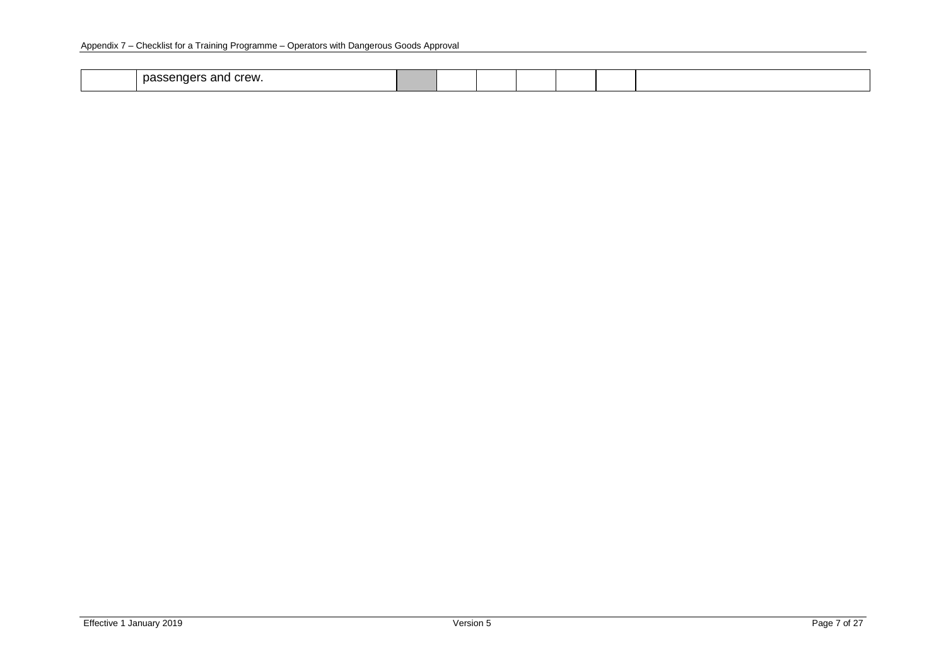| ⊧crew.<br>noc<br>י הי<br>്പാ<br>יייה הי<br> |  |  |  |  |
|---------------------------------------------|--|--|--|--|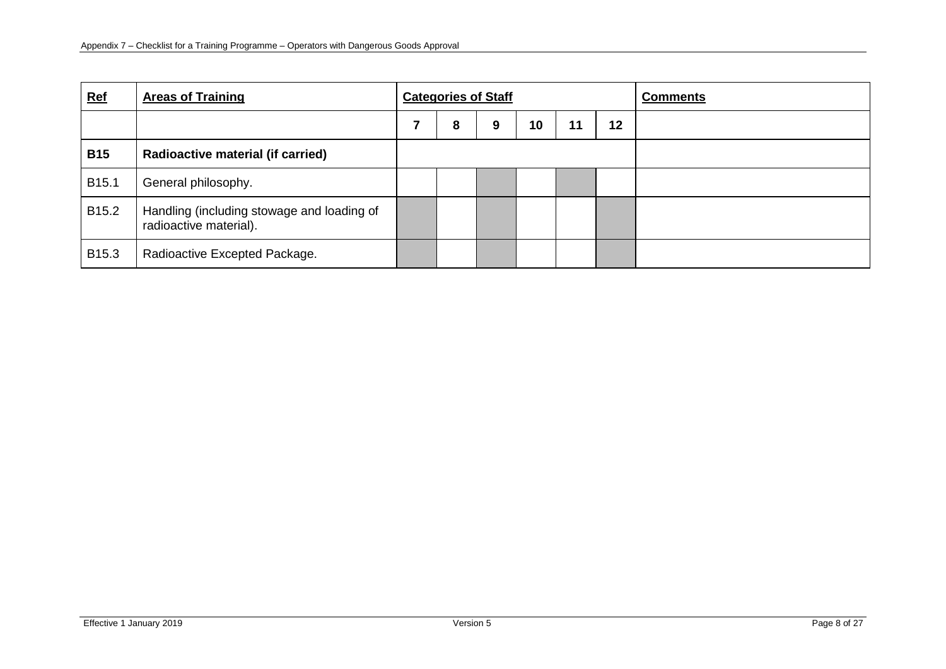| <b>Ref</b>        | <b>Areas of Training</b>                                             | <b>Categories of Staff</b> |   |   |    |    | <b>Comments</b> |  |
|-------------------|----------------------------------------------------------------------|----------------------------|---|---|----|----|-----------------|--|
|                   |                                                                      |                            | 8 | 9 | 10 | 11 |                 |  |
| <b>B15</b>        | <b>Radioactive material (if carried)</b>                             |                            |   |   |    |    |                 |  |
| B <sub>15.1</sub> | General philosophy.                                                  |                            |   |   |    |    |                 |  |
| B <sub>15.2</sub> | Handling (including stowage and loading of<br>radioactive material). |                            |   |   |    |    |                 |  |
| B <sub>15.3</sub> | Radioactive Excepted Package.                                        |                            |   |   |    |    |                 |  |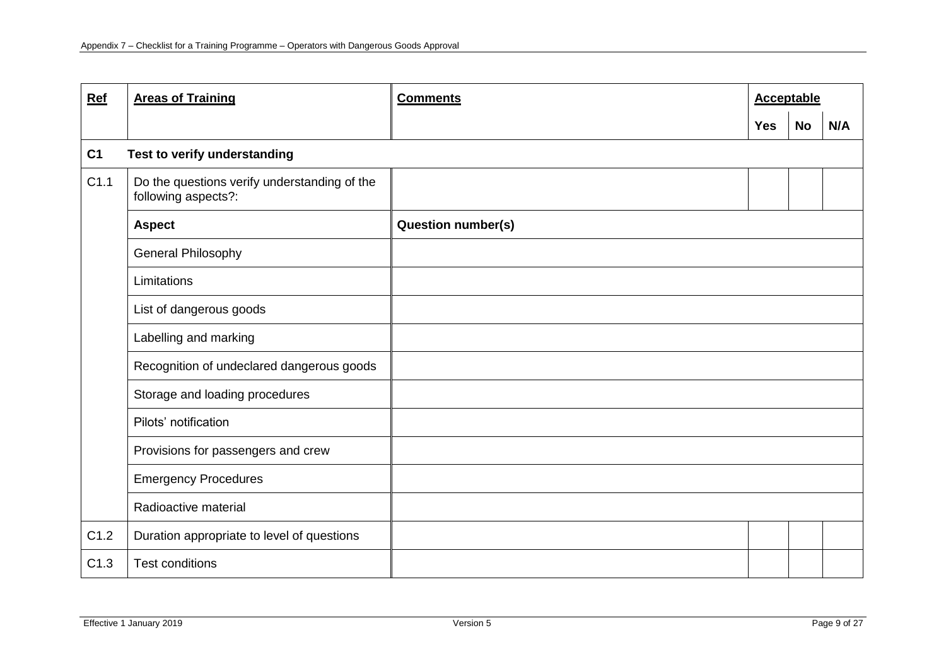| Ref            | <b>Areas of Training</b>                                            | <b>Comments</b>           | <b>Acceptable</b> |           |     |
|----------------|---------------------------------------------------------------------|---------------------------|-------------------|-----------|-----|
|                |                                                                     |                           | <b>Yes</b>        | <b>No</b> | N/A |
| C <sub>1</sub> | Test to verify understanding                                        |                           |                   |           |     |
| C1.1           | Do the questions verify understanding of the<br>following aspects?: |                           |                   |           |     |
|                | <b>Aspect</b>                                                       | <b>Question number(s)</b> |                   |           |     |
|                | General Philosophy                                                  |                           |                   |           |     |
|                | Limitations                                                         |                           |                   |           |     |
|                | List of dangerous goods                                             |                           |                   |           |     |
|                | Labelling and marking                                               |                           |                   |           |     |
|                | Recognition of undeclared dangerous goods                           |                           |                   |           |     |
|                | Storage and loading procedures                                      |                           |                   |           |     |
|                | Pilots' notification                                                |                           |                   |           |     |
|                | Provisions for passengers and crew                                  |                           |                   |           |     |
|                | <b>Emergency Procedures</b>                                         |                           |                   |           |     |
|                | Radioactive material                                                |                           |                   |           |     |
| C1.2           | Duration appropriate to level of questions                          |                           |                   |           |     |
| C1.3           | <b>Test conditions</b>                                              |                           |                   |           |     |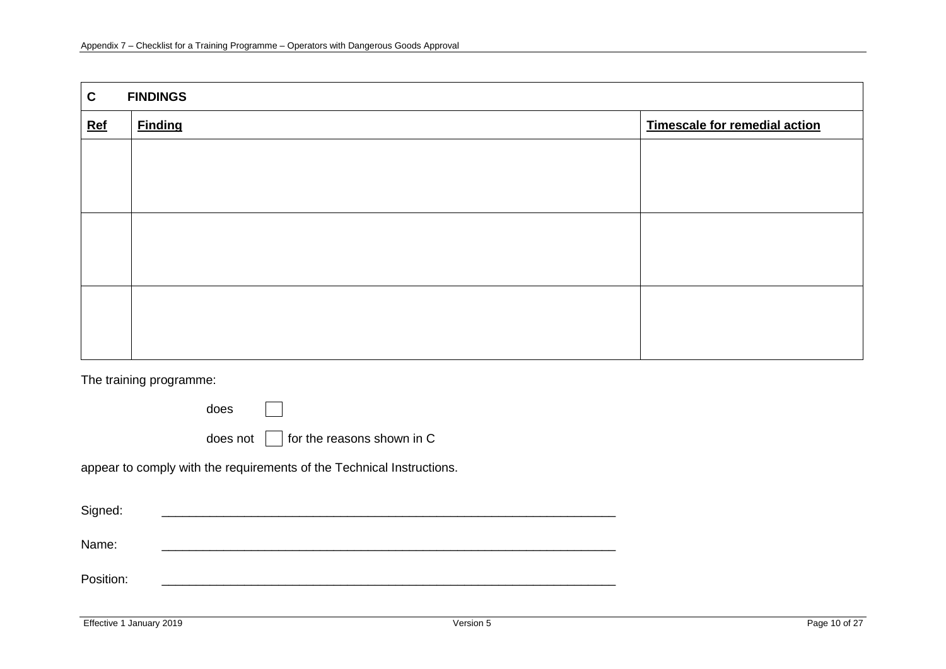| $\mathbf{C}$ | <b>FINDINGS</b> |                               |
|--------------|-----------------|-------------------------------|
| $Ref$        | <b>Finding</b>  | Timescale for remedial action |
|              |                 |                               |
|              |                 |                               |
|              |                 |                               |
|              |                 |                               |
|              |                 |                               |
|              |                 |                               |
|              |                 |                               |
|              |                 |                               |
|              |                 |                               |

The training programme:

does

does not  $\Box$  for the reasons shown in C

appear to comply with the requirements of the Technical Instructions.

| Signed:   |  |
|-----------|--|
| Name:     |  |
| Position: |  |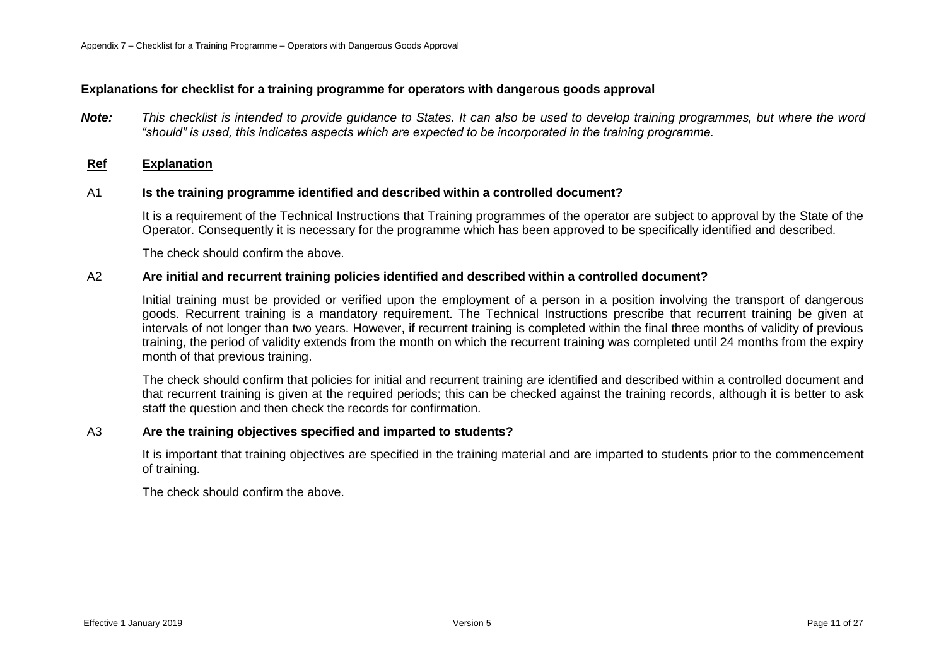## **Explanations for checklist for a training programme for operators with dangerous goods approval**

*Note: This checklist is intended to provide guidance to States. It can also be used to develop training programmes, but where the word "should" is used, this indicates aspects which are expected to be incorporated in the training programme.*

### **Ref Explanation**

### A1 **Is the training programme identified and described within a controlled document?**

It is a requirement of the Technical Instructions that Training programmes of the operator are subject to approval by the State of the Operator. Consequently it is necessary for the programme which has been approved to be specifically identified and described.

The check should confirm the above.

### A2 **Are initial and recurrent training policies identified and described within a controlled document?**

Initial training must be provided or verified upon the employment of a person in a position involving the transport of dangerous goods. Recurrent training is a mandatory requirement. The Technical Instructions prescribe that recurrent training be given at intervals of not longer than two years. However, if recurrent training is completed within the final three months of validity of previous training, the period of validity extends from the month on which the recurrent training was completed until 24 months from the expiry month of that previous training.

The check should confirm that policies for initial and recurrent training are identified and described within a controlled document and that recurrent training is given at the required periods; this can be checked against the training records, although it is better to ask staff the question and then check the records for confirmation.

#### A3 **Are the training objectives specified and imparted to students?**

It is important that training objectives are specified in the training material and are imparted to students prior to the commencement of training.

The check should confirm the above.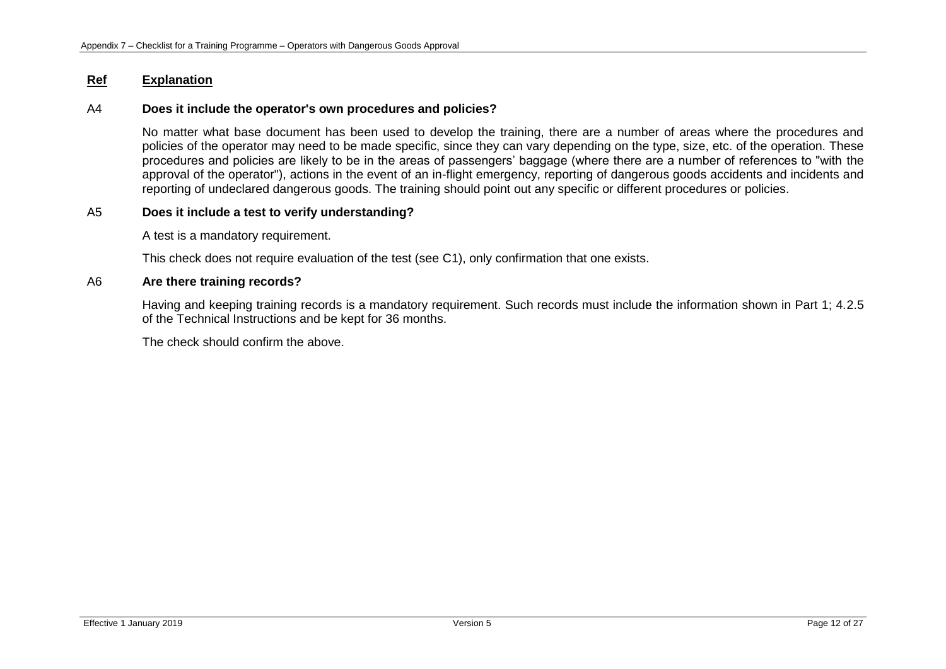## A4 **Does it include the operator's own procedures and policies?**

No matter what base document has been used to develop the training, there are a number of areas where the procedures and policies of the operator may need to be made specific, since they can vary depending on the type, size, etc. of the operation. These procedures and policies are likely to be in the areas of passengers' baggage (where there are a number of references to "with the approval of the operator"), actions in the event of an in-flight emergency, reporting of dangerous goods accidents and incidents and reporting of undeclared dangerous goods. The training should point out any specific or different procedures or policies.

# A5 **Does it include a test to verify understanding?**

A test is a mandatory requirement.

This check does not require evaluation of the test (see C1), only confirmation that one exists.

### A6 **Are there training records?**

Having and keeping training records is a mandatory requirement. Such records must include the information shown in Part 1; 4.2.5 of the Technical Instructions and be kept for 36 months.

The check should confirm the above.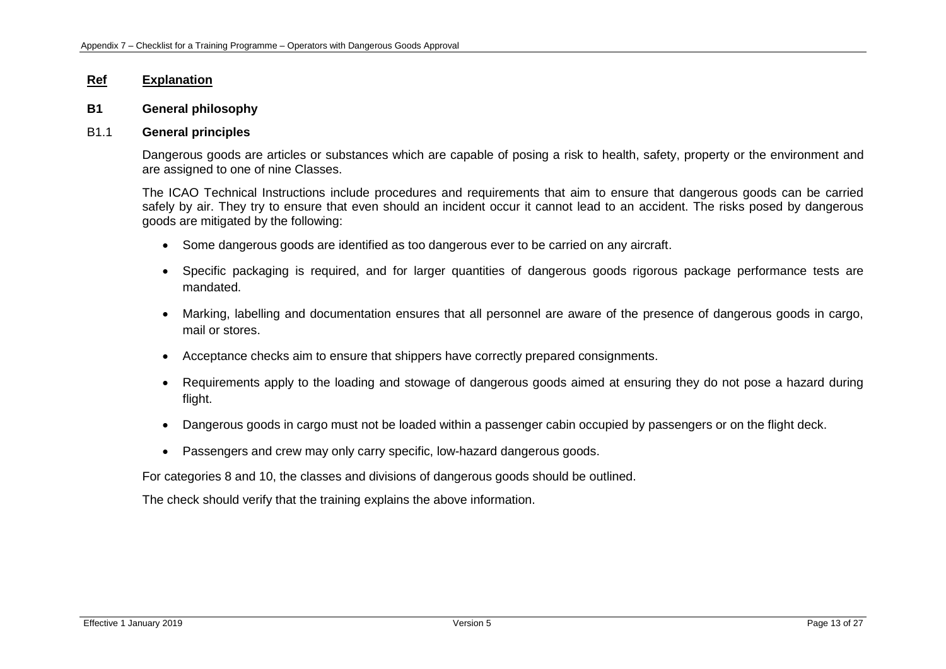### **B1 General philosophy**

### B1.1 **General principles**

Dangerous goods are articles or substances which are capable of posing a risk to health, safety, property or the environment and are assigned to one of nine Classes.

The ICAO Technical Instructions include procedures and requirements that aim to ensure that dangerous goods can be carried safely by air. They try to ensure that even should an incident occur it cannot lead to an accident. The risks posed by dangerous goods are mitigated by the following:

- Some dangerous goods are identified as too dangerous ever to be carried on any aircraft.
- Specific packaging is required, and for larger quantities of dangerous goods rigorous package performance tests are mandated.
- Marking, labelling and documentation ensures that all personnel are aware of the presence of dangerous goods in cargo, mail or stores.
- Acceptance checks aim to ensure that shippers have correctly prepared consignments.
- Requirements apply to the loading and stowage of dangerous goods aimed at ensuring they do not pose a hazard during flight.
- Dangerous goods in cargo must not be loaded within a passenger cabin occupied by passengers or on the flight deck.
- Passengers and crew may only carry specific, low-hazard dangerous goods.

For categories 8 and 10, the classes and divisions of dangerous goods should be outlined.

The check should verify that the training explains the above information.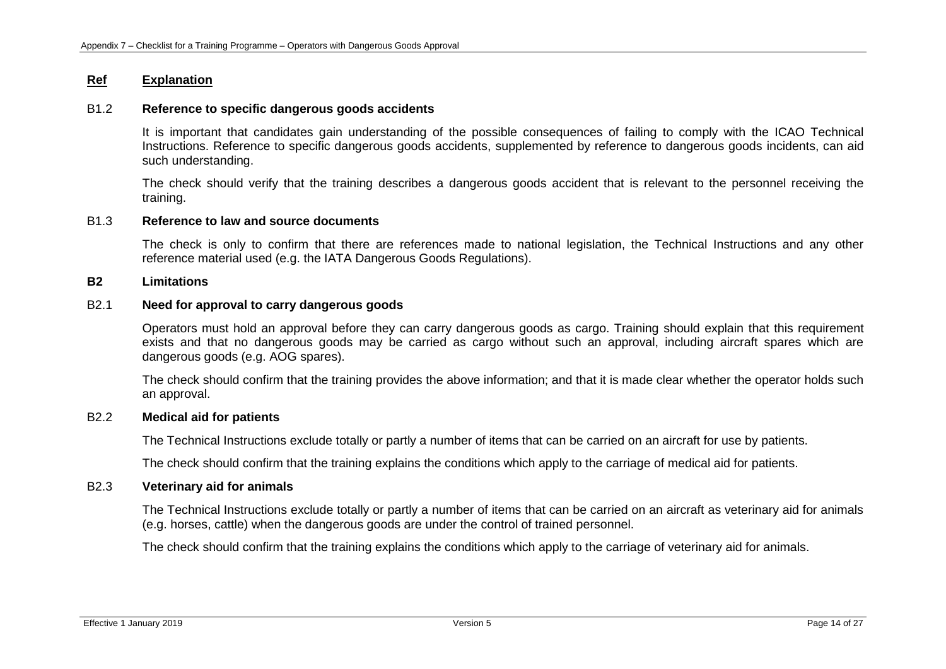## B1.2 **Reference to specific dangerous goods accidents**

It is important that candidates gain understanding of the possible consequences of failing to comply with the ICAO Technical Instructions. Reference to specific dangerous goods accidents, supplemented by reference to dangerous goods incidents, can aid such understanding.

The check should verify that the training describes a dangerous goods accident that is relevant to the personnel receiving the training.

#### B1.3 **Reference to law and source documents**

The check is only to confirm that there are references made to national legislation, the Technical Instructions and any other reference material used (e.g. the IATA Dangerous Goods Regulations).

### **B2 Limitations**

## B2.1 **Need for approval to carry dangerous goods**

Operators must hold an approval before they can carry dangerous goods as cargo. Training should explain that this requirement exists and that no dangerous goods may be carried as cargo without such an approval, including aircraft spares which are dangerous goods (e.g. AOG spares).

The check should confirm that the training provides the above information; and that it is made clear whether the operator holds such an approval.

### B2.2 **Medical aid for patients**

The Technical Instructions exclude totally or partly a number of items that can be carried on an aircraft for use by patients.

The check should confirm that the training explains the conditions which apply to the carriage of medical aid for patients.

#### B2.3 **Veterinary aid for animals**

The Technical Instructions exclude totally or partly a number of items that can be carried on an aircraft as veterinary aid for animals (e.g. horses, cattle) when the dangerous goods are under the control of trained personnel.

The check should confirm that the training explains the conditions which apply to the carriage of veterinary aid for animals.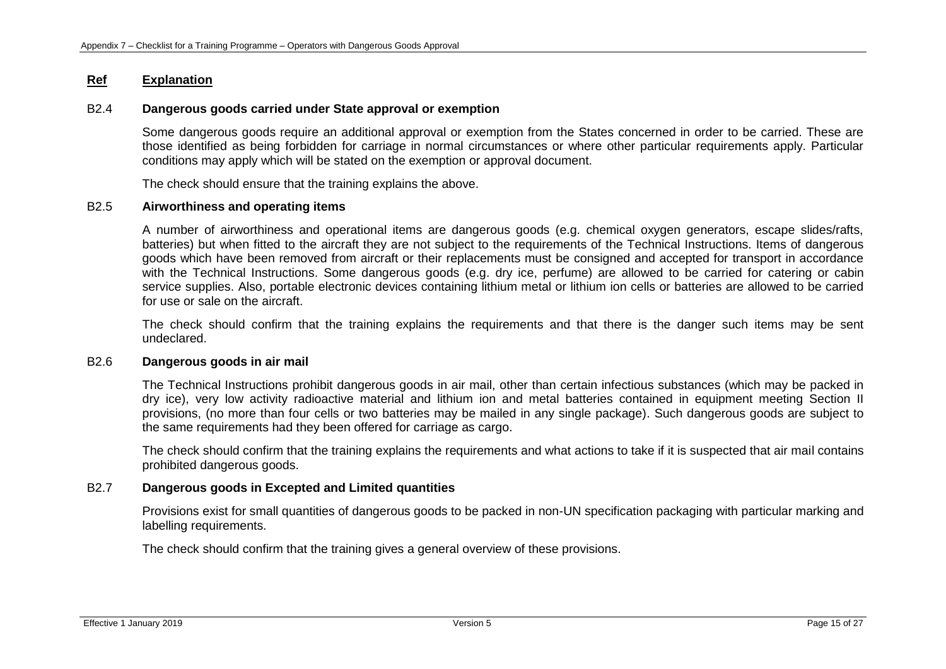### B2.4 **Dangerous goods carried under State approval or exemption**

Some dangerous goods require an additional approval or exemption from the States concerned in order to be carried. These are those identified as being forbidden for carriage in normal circumstances or where other particular requirements apply. Particular conditions may apply which will be stated on the exemption or approval document.

The check should ensure that the training explains the above.

### B2.5 **Airworthiness and operating items**

A number of airworthiness and operational items are dangerous goods (e.g. chemical oxygen generators, escape slides/rafts, batteries) but when fitted to the aircraft they are not subject to the requirements of the Technical Instructions. Items of dangerous goods which have been removed from aircraft or their replacements must be consigned and accepted for transport in accordance with the Technical Instructions. Some dangerous goods (e.g. dry ice, perfume) are allowed to be carried for catering or cabin service supplies. Also, portable electronic devices containing lithium metal or lithium ion cells or batteries are allowed to be carried for use or sale on the aircraft.

The check should confirm that the training explains the requirements and that there is the danger such items may be sent undeclared.

### B2.6 **Dangerous goods in air mail**

The Technical Instructions prohibit dangerous goods in air mail, other than certain infectious substances (which may be packed in dry ice), very low activity radioactive material and lithium ion and metal batteries contained in equipment meeting Section II provisions, (no more than four cells or two batteries may be mailed in any single package). Such dangerous goods are subject to the same requirements had they been offered for carriage as cargo.

The check should confirm that the training explains the requirements and what actions to take if it is suspected that air mail contains prohibited dangerous goods.

### B2.7 **Dangerous goods in Excepted and Limited quantities**

Provisions exist for small quantities of dangerous goods to be packed in non-UN specification packaging with particular marking and labelling requirements.

The check should confirm that the training gives a general overview of these provisions.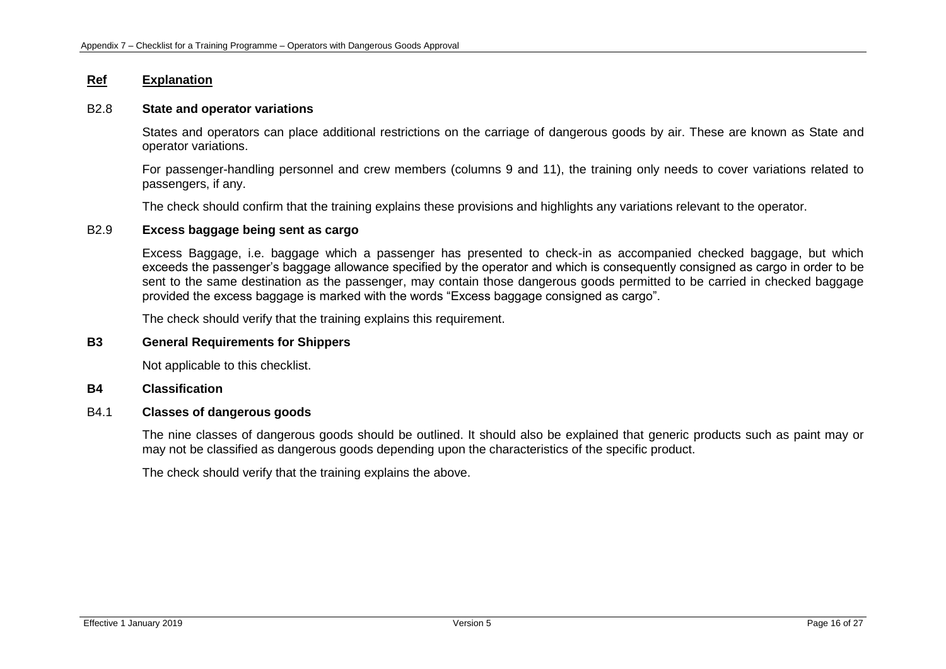# B2.8 **State and operator variations**

States and operators can place additional restrictions on the carriage of dangerous goods by air. These are known as State and operator variations.

For passenger-handling personnel and crew members (columns 9 and 11), the training only needs to cover variations related to passengers, if any.

The check should confirm that the training explains these provisions and highlights any variations relevant to the operator.

# B2.9 **Excess baggage being sent as cargo**

Excess Baggage, i.e. baggage which a passenger has presented to check-in as accompanied checked baggage, but which exceeds the passenger's baggage allowance specified by the operator and which is consequently consigned as cargo in order to be sent to the same destination as the passenger, may contain those dangerous goods permitted to be carried in checked baggage provided the excess baggage is marked with the words "Excess baggage consigned as cargo".

The check should verify that the training explains this requirement.

### **B3 General Requirements for Shippers**

Not applicable to this checklist.

#### **B4 Classification**

## B4.1 **Classes of dangerous goods**

The nine classes of dangerous goods should be outlined. It should also be explained that generic products such as paint may or may not be classified as dangerous goods depending upon the characteristics of the specific product.

The check should verify that the training explains the above.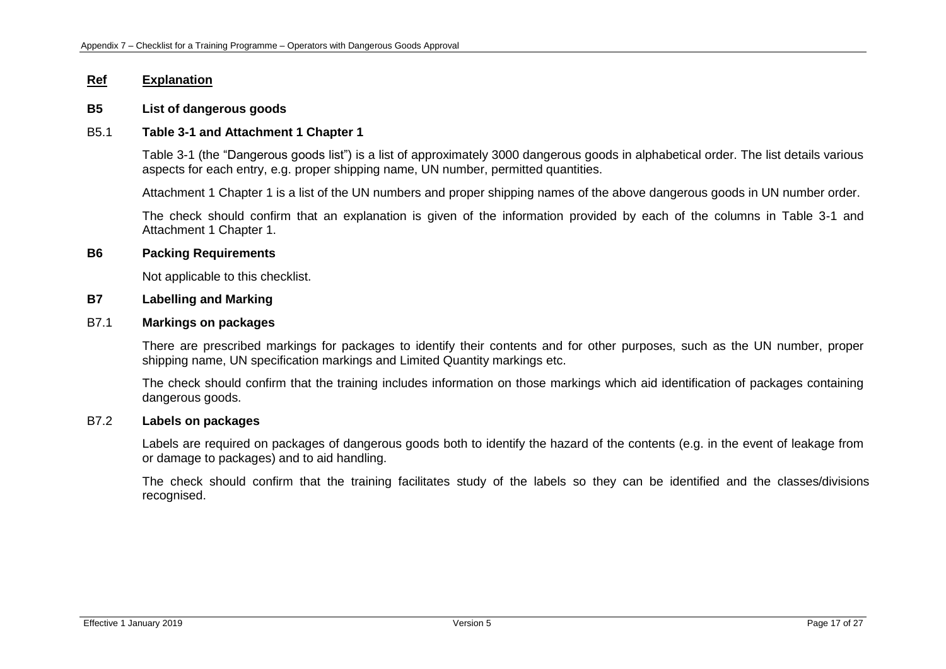#### **B5 List of dangerous goods**

#### B5.1 **Table 3-1 and Attachment 1 Chapter 1**

Table 3-1 (the "Dangerous goods list") is a list of approximately 3000 dangerous goods in alphabetical order. The list details various aspects for each entry, e.g. proper shipping name, UN number, permitted quantities.

Attachment 1 Chapter 1 is a list of the UN numbers and proper shipping names of the above dangerous goods in UN number order.

The check should confirm that an explanation is given of the information provided by each of the columns in Table 3-1 and Attachment 1 Chapter 1.

#### **B6 Packing Requirements**

Not applicable to this checklist.

#### **B7 Labelling and Marking**

#### B7.1 **Markings on packages**

There are prescribed markings for packages to identify their contents and for other purposes, such as the UN number, proper shipping name, UN specification markings and Limited Quantity markings etc.

The check should confirm that the training includes information on those markings which aid identification of packages containing dangerous goods.

## B7.2 **Labels on packages**

Labels are required on packages of dangerous goods both to identify the hazard of the contents (e.g. in the event of leakage from or damage to packages) and to aid handling.

The check should confirm that the training facilitates study of the labels so they can be identified and the classes/divisions recognised.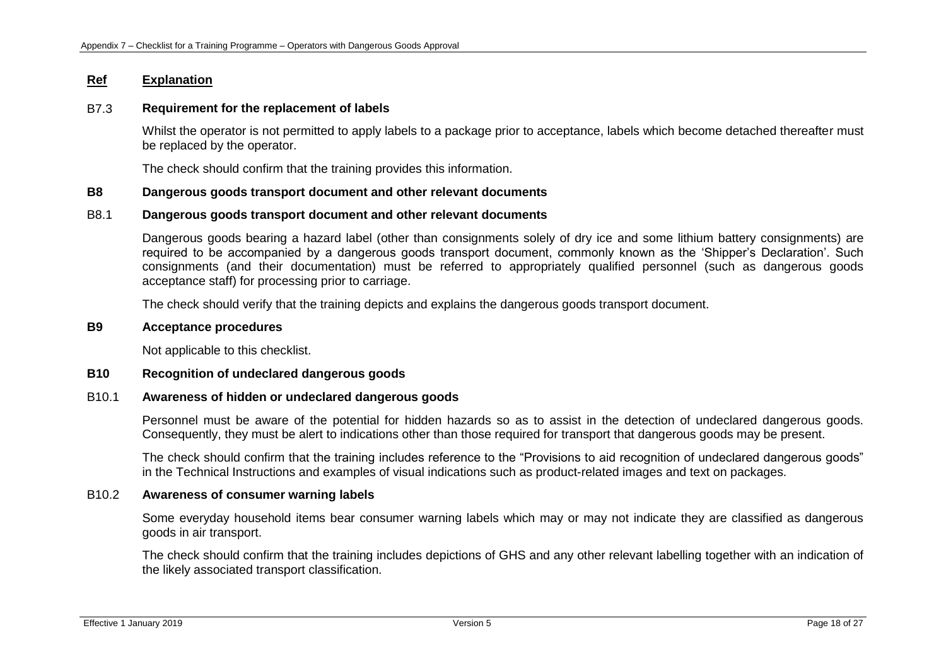## B7.3 **Requirement for the replacement of labels**

Whilst the operator is not permitted to apply labels to a package prior to acceptance, labels which become detached thereafter must be replaced by the operator.

The check should confirm that the training provides this information.

## **B8 Dangerous goods transport document and other relevant documents**

#### B8.1 **Dangerous goods transport document and other relevant documents**

Dangerous goods bearing a hazard label (other than consignments solely of dry ice and some lithium battery consignments) are required to be accompanied by a dangerous goods transport document, commonly known as the 'Shipper's Declaration'. Such consignments (and their documentation) must be referred to appropriately qualified personnel (such as dangerous goods acceptance staff) for processing prior to carriage.

The check should verify that the training depicts and explains the dangerous goods transport document.

#### **B9 Acceptance procedures**

Not applicable to this checklist.

#### **B10 Recognition of undeclared dangerous goods**

#### B10.1 **Awareness of hidden or undeclared dangerous goods**

Personnel must be aware of the potential for hidden hazards so as to assist in the detection of undeclared dangerous goods. Consequently, they must be alert to indications other than those required for transport that dangerous goods may be present.

The check should confirm that the training includes reference to the "Provisions to aid recognition of undeclared dangerous goods" in the Technical Instructions and examples of visual indications such as product-related images and text on packages.

# B10.2 **Awareness of consumer warning labels**

Some everyday household items bear consumer warning labels which may or may not indicate they are classified as dangerous goods in air transport.

The check should confirm that the training includes depictions of GHS and any other relevant labelling together with an indication of the likely associated transport classification.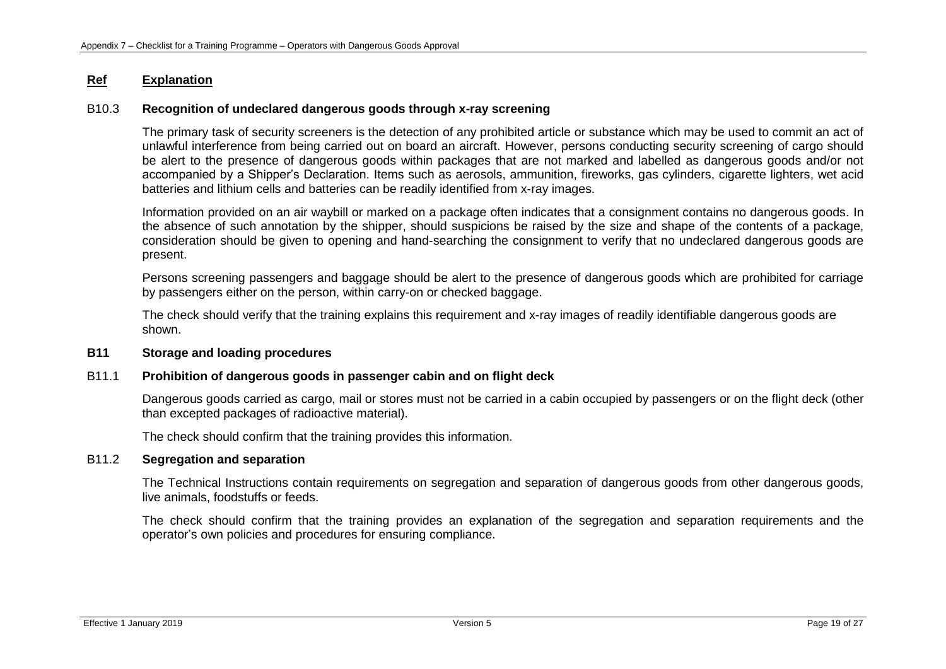## B10.3 **Recognition of undeclared dangerous goods through x-ray screening**

The primary task of security screeners is the detection of any prohibited article or substance which may be used to commit an act of unlawful interference from being carried out on board an aircraft. However, persons conducting security screening of cargo should be alert to the presence of dangerous goods within packages that are not marked and labelled as dangerous goods and/or not accompanied by a Shipper's Declaration. Items such as aerosols, ammunition, fireworks, gas cylinders, cigarette lighters, wet acid batteries and lithium cells and batteries can be readily identified from x-ray images.

Information provided on an air waybill or marked on a package often indicates that a consignment contains no dangerous goods. In the absence of such annotation by the shipper, should suspicions be raised by the size and shape of the contents of a package, consideration should be given to opening and hand-searching the consignment to verify that no undeclared dangerous goods are present.

Persons screening passengers and baggage should be alert to the presence of dangerous goods which are prohibited for carriage by passengers either on the person, within carry-on or checked baggage.

The check should verify that the training explains this requirement and x-ray images of readily identifiable dangerous goods are shown.

### **B11 Storage and loading procedures**

#### B11.1 **Prohibition of dangerous goods in passenger cabin and on flight deck**

Dangerous goods carried as cargo, mail or stores must not be carried in a cabin occupied by passengers or on the flight deck (other than excepted packages of radioactive material).

The check should confirm that the training provides this information.

#### B11.2 **Segregation and separation**

The Technical Instructions contain requirements on segregation and separation of dangerous goods from other dangerous goods, live animals, foodstuffs or feeds.

The check should confirm that the training provides an explanation of the segregation and separation requirements and the operator's own policies and procedures for ensuring compliance.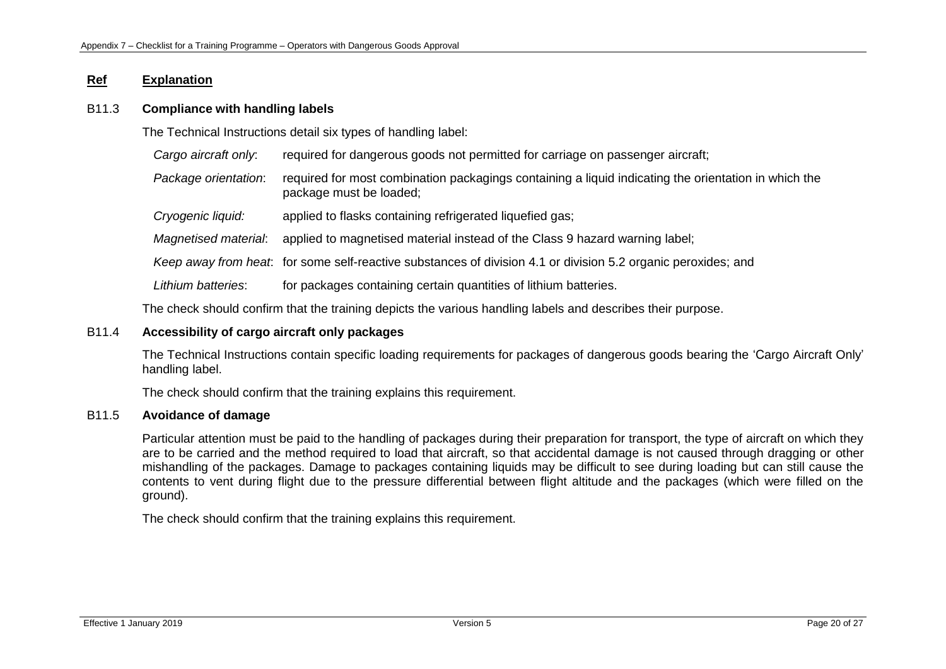## B11.3 **Compliance with handling labels**

The Technical Instructions detail six types of handling label:

*Cargo aircraft only:* required for dangerous goods not permitted for carriage on passenger aircraft;

- *Package orientation*: required for most combination packagings containing a liquid indicating the orientation in which the package must be loaded;
- *Cryogenic liquid:* applied to flasks containing refrigerated liquefied gas;
- *Magnetised material*: applied to magnetised material instead of the Class 9 hazard warning label;

*Keep away from heat*: for some self-reactive substances of division 4.1 or division 5.2 organic peroxides; and

*Lithium batteries*: for packages containing certain quantities of lithium batteries.

The check should confirm that the training depicts the various handling labels and describes their purpose.

## B11.4 **Accessibility of cargo aircraft only packages**

The Technical Instructions contain specific loading requirements for packages of dangerous goods bearing the 'Cargo Aircraft Only' handling label.

The check should confirm that the training explains this requirement.

# B11.5 **Avoidance of damage**

Particular attention must be paid to the handling of packages during their preparation for transport, the type of aircraft on which they are to be carried and the method required to load that aircraft, so that accidental damage is not caused through dragging or other mishandling of the packages. Damage to packages containing liquids may be difficult to see during loading but can still cause the contents to vent during flight due to the pressure differential between flight altitude and the packages (which were filled on the ground).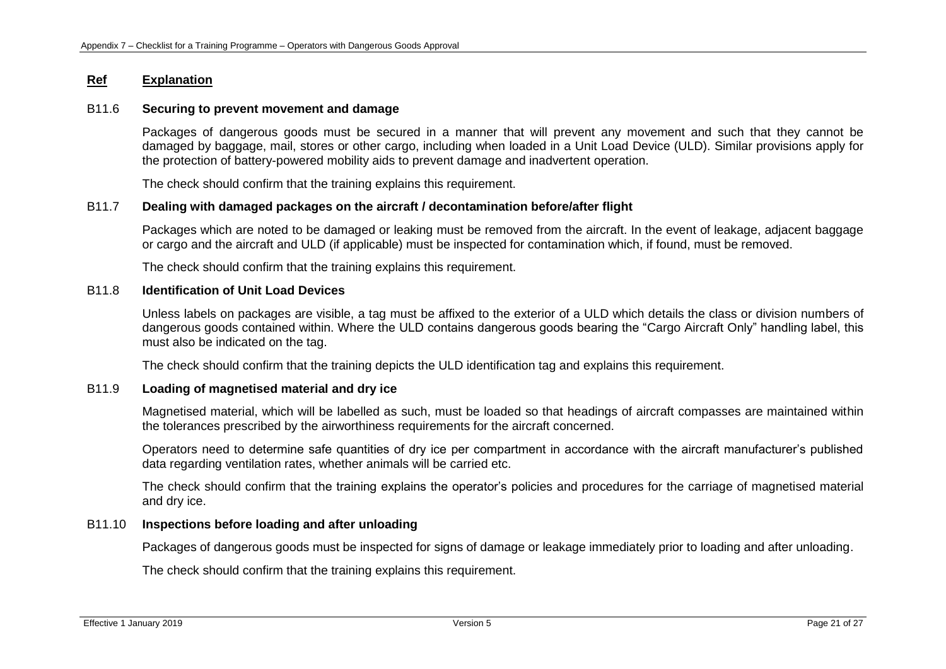### B11.6 **Securing to prevent movement and damage**

Packages of dangerous goods must be secured in a manner that will prevent any movement and such that they cannot be damaged by baggage, mail, stores or other cargo, including when loaded in a Unit Load Device (ULD). Similar provisions apply for the protection of battery-powered mobility aids to prevent damage and inadvertent operation.

The check should confirm that the training explains this requirement.

## B11.7 **Dealing with damaged packages on the aircraft / decontamination before/after flight**

Packages which are noted to be damaged or leaking must be removed from the aircraft. In the event of leakage, adjacent baggage or cargo and the aircraft and ULD (if applicable) must be inspected for contamination which, if found, must be removed.

The check should confirm that the training explains this requirement.

## B11.8 **Identification of Unit Load Devices**

Unless labels on packages are visible, a tag must be affixed to the exterior of a ULD which details the class or division numbers of dangerous goods contained within. Where the ULD contains dangerous goods bearing the "Cargo Aircraft Only" handling label, this must also be indicated on the tag.

The check should confirm that the training depicts the ULD identification tag and explains this requirement.

## B11.9 **Loading of magnetised material and dry ice**

Magnetised material, which will be labelled as such, must be loaded so that headings of aircraft compasses are maintained within the tolerances prescribed by the airworthiness requirements for the aircraft concerned.

Operators need to determine safe quantities of dry ice per compartment in accordance with the aircraft manufacturer's published data regarding ventilation rates, whether animals will be carried etc.

The check should confirm that the training explains the operator's policies and procedures for the carriage of magnetised material and dry ice.

# B11.10 **Inspections before loading and after unloading**

Packages of dangerous goods must be inspected for signs of damage or leakage immediately prior to loading and after unloading.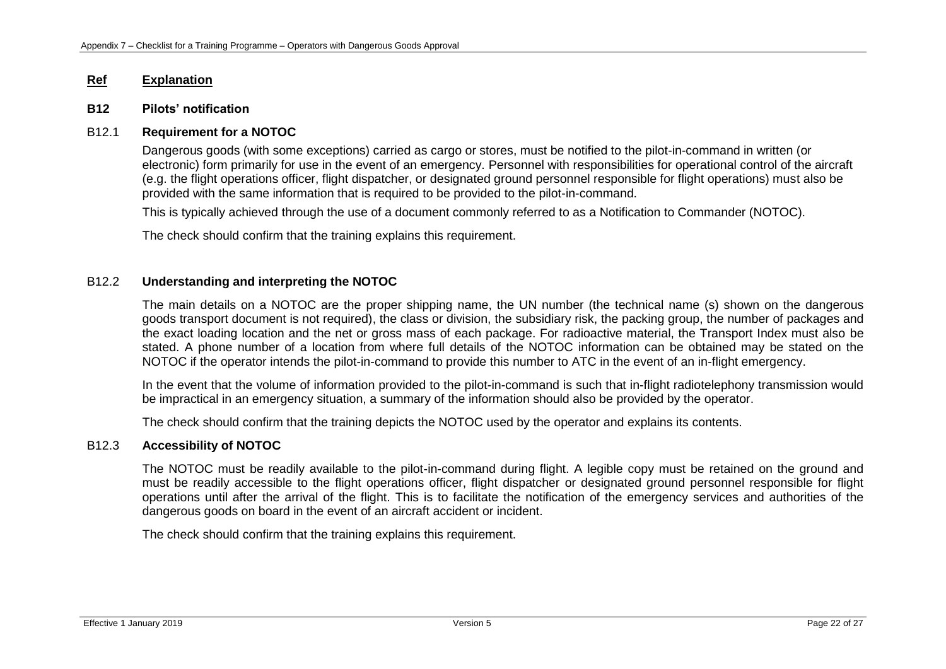### **B12 Pilots' notification**

## B12.1 **Requirement for a NOTOC**

Dangerous goods (with some exceptions) carried as cargo or stores, must be notified to the pilot-in-command in written (or electronic) form primarily for use in the event of an emergency. Personnel with responsibilities for operational control of the aircraft (e.g. the flight operations officer, flight dispatcher, or designated ground personnel responsible for flight operations) must also be provided with the same information that is required to be provided to the pilot-in-command.

This is typically achieved through the use of a document commonly referred to as a Notification to Commander (NOTOC).

The check should confirm that the training explains this requirement.

# B12.2 **Understanding and interpreting the NOTOC**

The main details on a NOTOC are the proper shipping name, the UN number (the technical name (s) shown on the dangerous goods transport document is not required), the class or division, the subsidiary risk, the packing group, the number of packages and the exact loading location and the net or gross mass of each package. For radioactive material, the Transport Index must also be stated. A phone number of a location from where full details of the NOTOC information can be obtained may be stated on the NOTOC if the operator intends the pilot-in-command to provide this number to ATC in the event of an in-flight emergency.

In the event that the volume of information provided to the pilot-in-command is such that in-flight radiotelephony transmission would be impractical in an emergency situation, a summary of the information should also be provided by the operator.

The check should confirm that the training depicts the NOTOC used by the operator and explains its contents.

## B12.3 **Accessibility of NOTOC**

The NOTOC must be readily available to the pilot-in-command during flight. A legible copy must be retained on the ground and must be readily accessible to the flight operations officer, flight dispatcher or designated ground personnel responsible for flight operations until after the arrival of the flight. This is to facilitate the notification of the emergency services and authorities of the dangerous goods on board in the event of an aircraft accident or incident.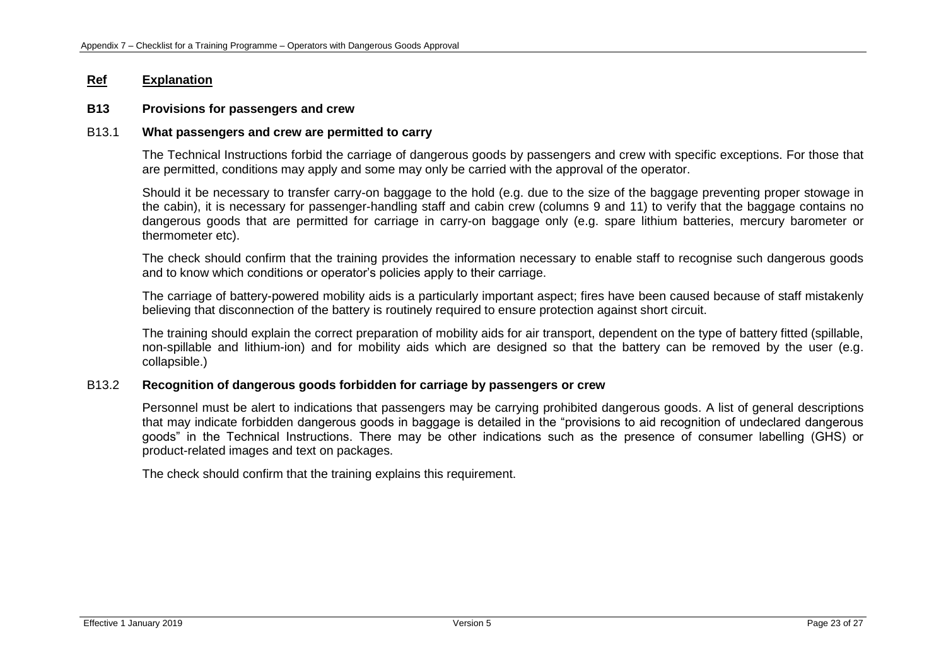# **B13 Provisions for passengers and crew**

### B13.1 **What passengers and crew are permitted to carry**

The Technical Instructions forbid the carriage of dangerous goods by passengers and crew with specific exceptions. For those that are permitted, conditions may apply and some may only be carried with the approval of the operator.

Should it be necessary to transfer carry-on baggage to the hold (e.g. due to the size of the baggage preventing proper stowage in the cabin), it is necessary for passenger-handling staff and cabin crew (columns 9 and 11) to verify that the baggage contains no dangerous goods that are permitted for carriage in carry-on baggage only (e.g. spare lithium batteries, mercury barometer or thermometer etc).

The check should confirm that the training provides the information necessary to enable staff to recognise such dangerous goods and to know which conditions or operator's policies apply to their carriage.

The carriage of battery-powered mobility aids is a particularly important aspect; fires have been caused because of staff mistakenly believing that disconnection of the battery is routinely required to ensure protection against short circuit.

The training should explain the correct preparation of mobility aids for air transport, dependent on the type of battery fitted (spillable, non-spillable and lithium-ion) and for mobility aids which are designed so that the battery can be removed by the user (e.g. collapsible.)

## B13.2 **Recognition of dangerous goods forbidden for carriage by passengers or crew**

Personnel must be alert to indications that passengers may be carrying prohibited dangerous goods. A list of general descriptions that may indicate forbidden dangerous goods in baggage is detailed in the "provisions to aid recognition of undeclared dangerous goods" in the Technical Instructions. There may be other indications such as the presence of consumer labelling (GHS) or product-related images and text on packages.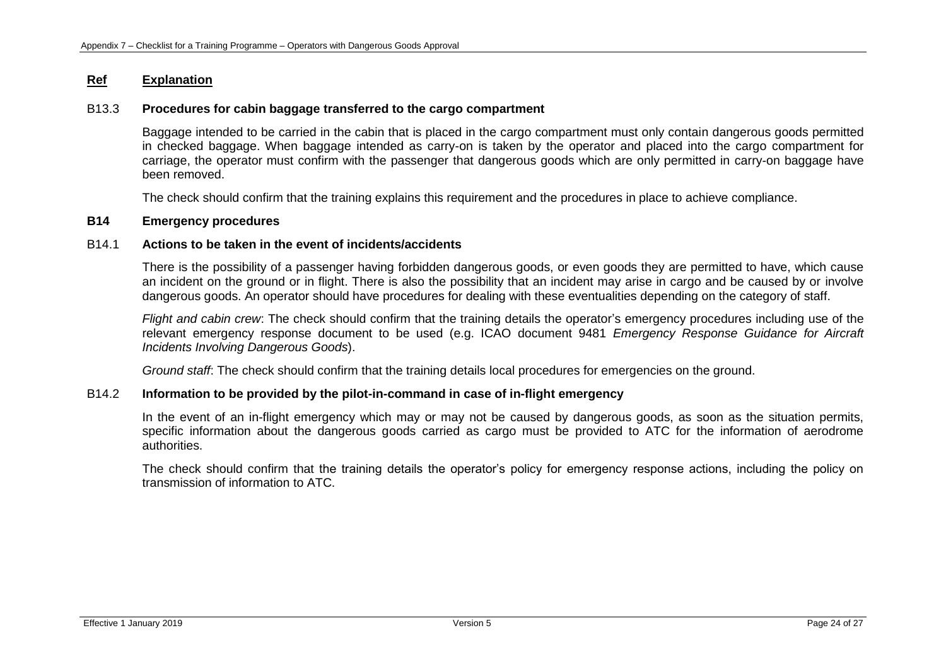## B13.3 **Procedures for cabin baggage transferred to the cargo compartment**

Baggage intended to be carried in the cabin that is placed in the cargo compartment must only contain dangerous goods permitted in checked baggage. When baggage intended as carry-on is taken by the operator and placed into the cargo compartment for carriage, the operator must confirm with the passenger that dangerous goods which are only permitted in carry-on baggage have been removed.

The check should confirm that the training explains this requirement and the procedures in place to achieve compliance.

### **B14 Emergency procedures**

### B14.1 **Actions to be taken in the event of incidents/accidents**

There is the possibility of a passenger having forbidden dangerous goods, or even goods they are permitted to have, which cause an incident on the ground or in flight. There is also the possibility that an incident may arise in cargo and be caused by or involve dangerous goods. An operator should have procedures for dealing with these eventualities depending on the category of staff.

*Flight and cabin crew*: The check should confirm that the training details the operator's emergency procedures including use of the relevant emergency response document to be used (e.g. ICAO document 9481 *Emergency Response Guidance for Aircraft Incidents Involving Dangerous Goods*).

*Ground staff*: The check should confirm that the training details local procedures for emergencies on the ground.

### B14.2 **Information to be provided by the pilot-in-command in case of in-flight emergency**

In the event of an in-flight emergency which may or may not be caused by dangerous goods, as soon as the situation permits, specific information about the dangerous goods carried as cargo must be provided to ATC for the information of aerodrome authorities.

The check should confirm that the training details the operator's policy for emergency response actions, including the policy on transmission of information to ATC.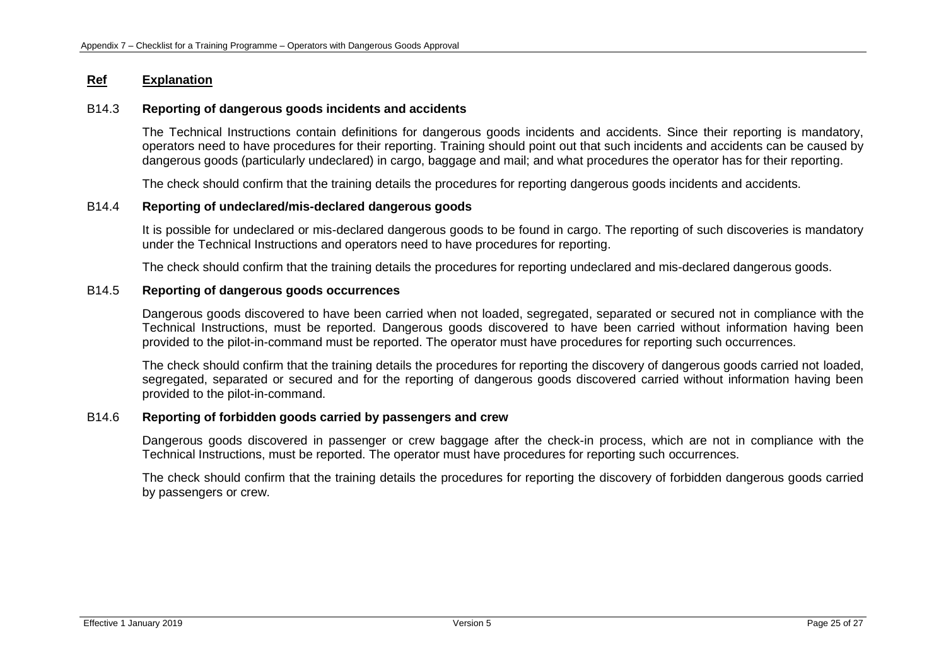### B14.3 **Reporting of dangerous goods incidents and accidents**

The Technical Instructions contain definitions for dangerous goods incidents and accidents. Since their reporting is mandatory, operators need to have procedures for their reporting. Training should point out that such incidents and accidents can be caused by dangerous goods (particularly undeclared) in cargo, baggage and mail; and what procedures the operator has for their reporting.

The check should confirm that the training details the procedures for reporting dangerous goods incidents and accidents.

## B14.4 **Reporting of undeclared/mis-declared dangerous goods**

It is possible for undeclared or mis-declared dangerous goods to be found in cargo. The reporting of such discoveries is mandatory under the Technical Instructions and operators need to have procedures for reporting.

The check should confirm that the training details the procedures for reporting undeclared and mis-declared dangerous goods.

## B14.5 **Reporting of dangerous goods occurrences**

Dangerous goods discovered to have been carried when not loaded, segregated, separated or secured not in compliance with the Technical Instructions, must be reported. Dangerous goods discovered to have been carried without information having been provided to the pilot-in-command must be reported. The operator must have procedures for reporting such occurrences.

The check should confirm that the training details the procedures for reporting the discovery of dangerous goods carried not loaded, segregated, separated or secured and for the reporting of dangerous goods discovered carried without information having been provided to the pilot-in-command.

### B14.6 **Reporting of forbidden goods carried by passengers and crew**

Dangerous goods discovered in passenger or crew baggage after the check-in process, which are not in compliance with the Technical Instructions, must be reported. The operator must have procedures for reporting such occurrences.

The check should confirm that the training details the procedures for reporting the discovery of forbidden dangerous goods carried by passengers or crew.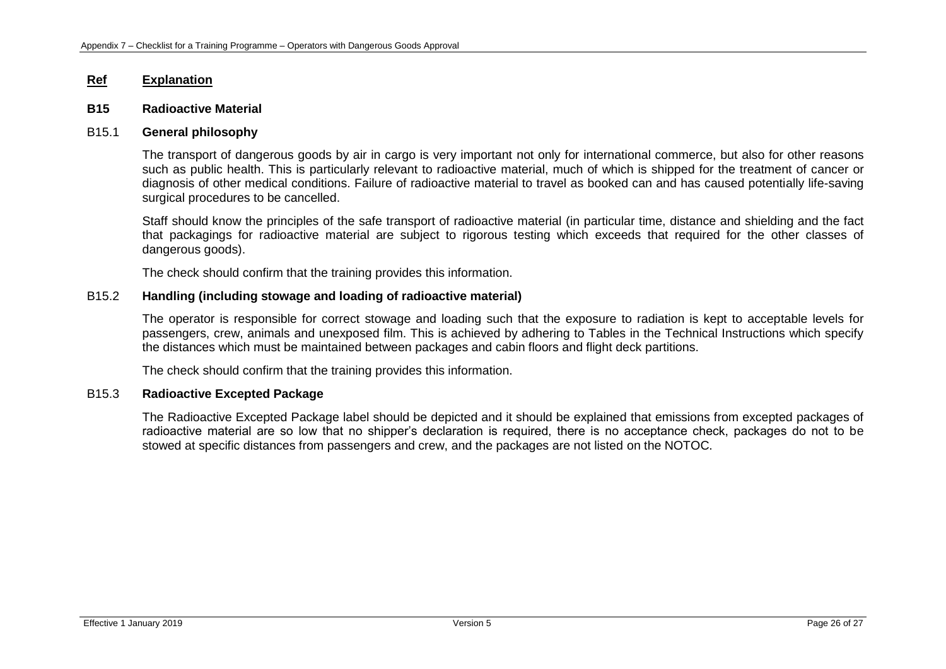### **B15 Radioactive Material**

### B15.1 **General philosophy**

The transport of dangerous goods by air in cargo is very important not only for international commerce, but also for other reasons such as public health. This is particularly relevant to radioactive material, much of which is shipped for the treatment of cancer or diagnosis of other medical conditions. Failure of radioactive material to travel as booked can and has caused potentially life-saving surgical procedures to be cancelled.

Staff should know the principles of the safe transport of radioactive material (in particular time, distance and shielding and the fact that packagings for radioactive material are subject to rigorous testing which exceeds that required for the other classes of dangerous goods).

The check should confirm that the training provides this information.

## B15.2 **Handling (including stowage and loading of radioactive material)**

The operator is responsible for correct stowage and loading such that the exposure to radiation is kept to acceptable levels for passengers, crew, animals and unexposed film. This is achieved by adhering to Tables in the Technical Instructions which specify the distances which must be maintained between packages and cabin floors and flight deck partitions.

The check should confirm that the training provides this information.

### B15.3 **Radioactive Excepted Package**

The Radioactive Excepted Package label should be depicted and it should be explained that emissions from excepted packages of radioactive material are so low that no shipper's declaration is required, there is no acceptance check, packages do not to be stowed at specific distances from passengers and crew, and the packages are not listed on the NOTOC.